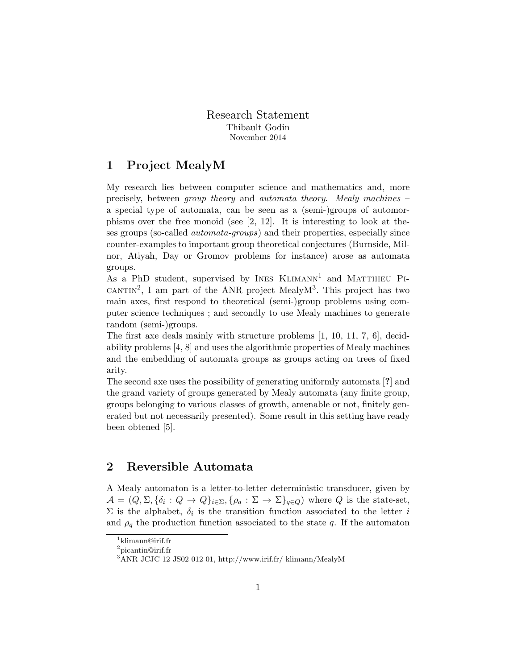Research Statement Thibault Godin November 2014

## 1 Project MealyM

My research lies between computer science and mathematics and, more precisely, between group theory and automata theory. Mealy machines – a special type of automata, can be seen as a (semi-)groups of automorphisms over the free monoid (see [2, 12]. It is interesting to look at theses groups (so-called automata-groups) and their properties, especially since counter-examples to important group theoretical conjectures (Burnside, Milnor, Atiyah, Day or Gromov problems for instance) arose as automata groups.

As a PhD student, supervised by INES  $KLIMANN<sup>1</sup>$  and MATTHIEU PI-CANTIN<sup>2</sup>, I am part of the ANR project MealyM<sup>3</sup>. This project has two main axes, first respond to theoretical (semi-)group problems using computer science techniques ; and secondly to use Mealy machines to generate random (semi-)groups.

The first axe deals mainly with structure problems  $[1, 10, 11, 7, 6]$ , decidability problems [4, 8] and uses the algorithmic properties of Mealy machines and the embedding of automata groups as groups acting on trees of fixed arity.

The second axe uses the possibility of generating uniformly automata [?] and the grand variety of groups generated by Mealy automata (any finite group, groups belonging to various classes of growth, amenable or not, finitely generated but not necessarily presented). Some result in this setting have ready been obtened [5].

## 2 Reversible Automata

A Mealy automaton is a letter-to-letter deterministic transducer, given by  $\mathcal{A} = (Q, \Sigma, \{\delta_i : Q \to Q\}_{i \in \Sigma}, \{\rho_q : \Sigma \to \Sigma\}_{q \in Q})$  where Q is the state-set,  $\Sigma$  is the alphabet,  $\delta_i$  is the transition function associated to the letter i and  $\rho_q$  the production function associated to the state q. If the automaton

<sup>1</sup> klimann@irif.fr

 $2$ picantin@irif.fr

 $3$ ANR JCJC 12 JS02 012 01, http://www.irif.fr/ klimann/MealyM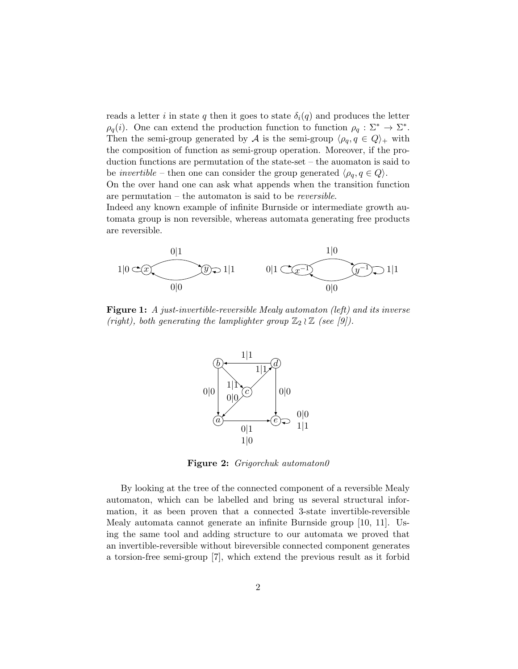reads a letter i in state q then it goes to state  $\delta_i(q)$  and produces the letter  $\rho_q(i)$ . One can extend the production function to function  $\rho_q : \Sigma^* \to \Sigma^*$ . Then the semi-group generated by A is the semi-group  $\langle \rho_q, q \in Q \rangle_+$  with the composition of function as semi-group operation. Moreover, if the production functions are permutation of the state-set – the auomaton is said to be *invertible* – then one can consider the group generated  $\langle \rho_q, q \in Q \rangle$ . On the over hand one can ask what appends when the transition function

are permutation – the automaton is said to be reversible.

Indeed any known example of infinite Burnside or intermediate growth automata group is non reversible, whereas automata generating free products are reversible.



Figure 1: A just-invertible-reversible Mealy automaton (left) and its inverse (right), both generating the lamplighter group  $\mathbb{Z}_2 \wr \mathbb{Z}$  (see [9]).



Figure 2: Grigorchuk automaton0

By looking at the tree of the connected component of a reversible Mealy automaton, which can be labelled and bring us several structural information, it as been proven that a connected 3-state invertible-reversible Mealy automata cannot generate an infinite Burnside group [10, 11]. Using the same tool and adding structure to our automata we proved that an invertible-reversible without bireversible connected component generates a torsion-free semi-group [7], which extend the previous result as it forbid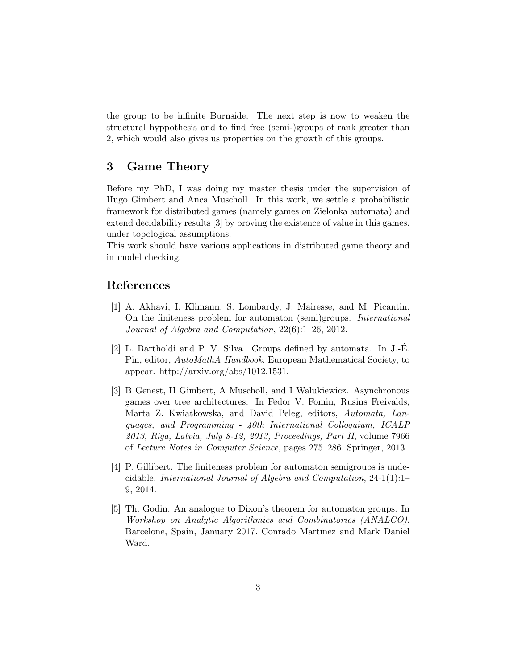the group to be infinite Burnside. The next step is now to weaken the structural hyppothesis and to find free (semi-)groups of rank greater than 2, which would also gives us properties on the growth of this groups.

## 3 Game Theory

Before my PhD, I was doing my master thesis under the supervision of Hugo Gimbert and Anca Muscholl. In this work, we settle a probabilistic framework for distributed games (namely games on Zielonka automata) and extend decidability results [3] by proving the existence of value in this games, under topological assumptions.

This work should have various applications in distributed game theory and in model checking.

## References

- [1] A. Akhavi, I. Klimann, S. Lombardy, J. Mairesse, and M. Picantin. On the finiteness problem for automaton (semi)groups. International Journal of Algebra and Computation, 22(6):1–26, 2012.
- [2] L. Bartholdi and P. V. Silva. Groups defined by automata. In J.-E. ´ Pin, editor, AutoMathA Handbook. European Mathematical Society, to appear. http://arxiv.org/abs/1012.1531.
- [3] B Genest, H Gimbert, A Muscholl, and I Walukiewicz. Asynchronous games over tree architectures. In Fedor V. Fomin, Rusins Freivalds, Marta Z. Kwiatkowska, and David Peleg, editors, Automata, Languages, and Programming - 40th International Colloquium, ICALP 2013, Riga, Latvia, July 8-12, 2013, Proceedings, Part II, volume 7966 of Lecture Notes in Computer Science, pages 275–286. Springer, 2013.
- [4] P. Gillibert. The finiteness problem for automaton semigroups is undecidable. International Journal of Algebra and Computation, 24-1(1):1– 9, 2014.
- [5] Th. Godin. An analogue to Dixon's theorem for automaton groups. In Workshop on Analytic Algorithmics and Combinatorics (ANALCO), Barcelone, Spain, January 2017. Conrado Martínez and Mark Daniel Ward.